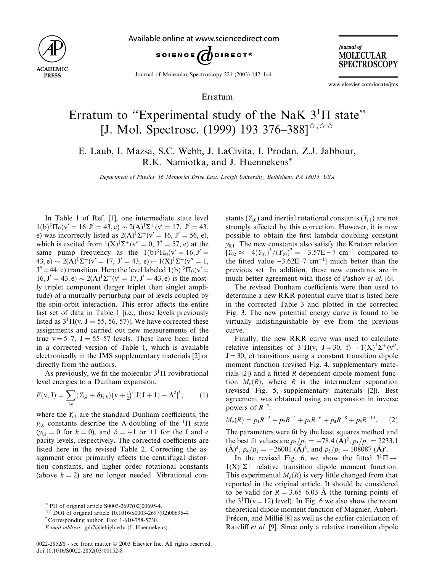

Available online at www.sciencedirect.com



**Journal** of **MOLECULAR SPECTROSCOPY** 

Journal of Molecular Spectroscopy 221 (2003) 142–144

Erratum

www.elsevier.com/locate/jms

## Erratum to "Experimental study of the NaK  $3^1\Pi$  state" [J. Mol. Spectrosc. (1999) 193 376–388] $\pi$ , $\pi$

E. Laub, I. Mazsa, S.C. Webb, J. LaCivita, I. Prodan, Z.J. Jabbour, R.K. Namiotka, and J. Huennekens\*

Department of Physics, 16 Memorial Drive East, Lehigh University, Bethlehem, PA 18015, USA

In Table 1 of Ref. [1], one intermediate state level  $1(b)^3 \Pi_0(v' = 16, J' = 43, e) \sim 2(A)^1 \Sigma^+(v' = 17, J' = 43,$ e) was incorrectly listed as  $2(A)^{1}\Sigma^{+}(v' = 16, J' = 56, e)$ , which is excited from  $1(X)^{1}\Sigma^{+}(v''=0, J''=57, e)$  at the same pump frequency as the  $1(b)^3\Pi_0(v'=16, J'=0)$  $(43, e) \sim 2(A)^{1}\Sigma^{+}(v' = 17, J' = 43, e) \leftarrow 1(X)^{1}\Sigma^{+}(v'' = 1,$  $J'' = 44$ , e) transition. Here the level labeled 1(b)  ${}^{3} \Pi_{0} (v' = 0)$  $16, J' = 43, e) \sim 2(A)^{1}\Sigma^{+}(v' = 17, J' = 43, e)$  is the mostly triplet component (larger triplet than singlet amplitude) of a mutually perturbing pair of levels coupled by the spin-orbit interaction. This error affects the entire last set of data in Table 1 [i.e., those levels previously listed as  $3^1\Pi(v, J = 55, 56, 57)$ ]. We have corrected these assignments and carried out new measurements of the true  $v = 5-7$ ,  $J = 55-57$  levels. These have been listed in a corrected version of Table 1, which is available electronically in the JMS supplementary materials [2] or directly from the authors.

As previously, we fit the molecular  $3<sup>1</sup>\Pi$  rovibrational level energies to a Dunham expansion,

$$
E(v, J) = \sum_{i,k} (Y_{i,k} + \delta y_{i,k}) (v + \frac{1}{2})^{i} [J(J+1) - \Lambda^{2}]^{k}, \qquad (1)
$$

where the  $Y_{ik}$  are the standard Dunham coefficients, the  $y_{ik}$  constants describe the A-doubling of the <sup>1</sup>H state  $(y_{i,k} = 0$  for  $k = 0)$ , and  $\delta = -1$  or +1 for the f and e parity levels, respectively. The corrected coefficients are listed here in the revised Table 2. Correcting the assignment error primarily affects the centrifugal distortion constants, and higher order rotational constants (above  $k = 2$ ) are no longer needed. Vibrational con-

stants  $(Y_{i,0})$  and inertial rotational constants  $(Y_{i,1})$  are not strongly affected by this correction. However, it is now possible to obtain the first lambda doubling constant  $y_{0,1}$ . The new constants also satisfy the Kratzer relation  $[Y_{02} \approx -4(Y_{01})^3/(Y_{10})^2 = -3.57E - 7$  cm<sup>-1</sup> compared to the fitted value  $-3.62E-7$  cm<sup>-1</sup>] much better than the previous set. In addition, these new constants are in much better agreement with those of Pashov et al. [6].

The revised Dunham coefficients were then used to determine a new RKR potential curve that is listed here in the corrected Table 3 and plotted in the corrected Fig. 3. The new potential energy curve is found to be virtually indistinguishable by eye from the previous curve.

Finally, the new RKR curve was used to calculate relative intensities of  $3^1\Pi(v, J = 30, f) \rightarrow 1(X)^1\Sigma^+(v'',$  $J = 30$ , e) transitions using a constant transition dipole moment function (revised Fig. 4, supplementary materials [2]) and a fitted R dependent dipole moment function  $M_e(R)$ , where R is the internuclear separation (revised Fig. 5, supplementary materials [2]). Best agreement was obtained using an expansion in inverse powers of  $R^{-2}$ :

$$
M_e(R) = p_1 R^{-2} + p_2 R^{-4} + p_3 R^{-6} + p_4 R^{-8} + p_5 R^{-10}.
$$
 (2)

The parameters were fit by the least squares method and the best fit values are  $p_2/p_1 = -78.4 \, (\text{\AA})^2$ ,  $p_3/p_1 = 2233.1$  $(\mathring{A})^4$ ,  $p_4/p_1 = -2600\hat{1}$   $(\mathring{A})^6$ , and  $p_5/p_1 = 108087$   $(\mathring{A})^8$ .

In the revised Fig. 6, we show the fitted  $3^1\Pi \rightarrow$  $1(X)^{1}\Sigma^{+}$  relative transition dipole moment function. This experimental  $M_e(R)$  is very little changed from that reported in the original article. It should be considered to be valid for  $R = 3.65{\text -}6.03$  Å (the turning points of the  $3^{1}\Pi(v = 12)$  level). In Fig. 6 we also show the recent theoretical dipole moment function of Magnier, Aubert-Frécon, and Millié [8] as well as the earlier calculation of Ratcliff et al. [9]. Since only a relative transition dipole

 $*$  PII of original article S0003-2697(02)00695-4.

 $*$   $\sim$  DOI of original article 10.1016/S0003-2697(02)00695-4.  $*$  Corresponding author. Fax: 1-610-758-5730.

E-mail address: [jph7@lehigh.edu](mail to: jph7@lehigh.edu) (J. Huennekens).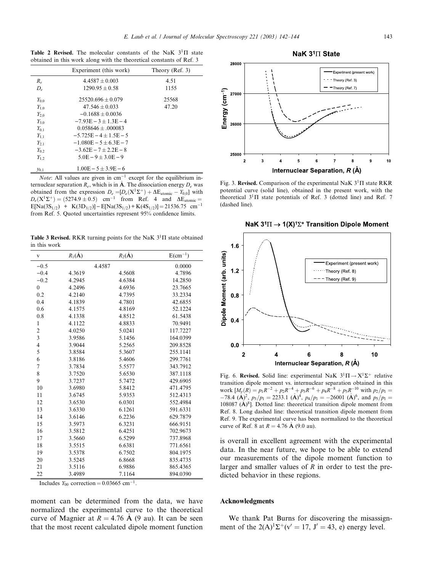Table 2 Revised. The molecular constants of the NaK  $3^1\Pi$  state obtained in this work along with the theoretical constants of Ref. 3

|           | Experiment (this work)   | Theory (Ref. $3$ ) |
|-----------|--------------------------|--------------------|
| $R_e$     | $4.4587 + 0.003$         | 4.51               |
| $D_e$     | $1290.95 + 0.58$         | 1155               |
| $Y_{0,0}$ | $25520.696 + 0.079$      | 25568              |
| $Y_{1,0}$ | $47.546 \pm 0.033$       | 47.20              |
| $Y_{2,0}$ | $-0.1688 + 0.0036$       |                    |
| $Y_{3,0}$ | $-7.93E - 3 + 1.3E - 4$  |                    |
| $Y_{0.1}$ | $0.058646 + 000083$      |                    |
| $Y_{1.1}$ | $-5.725E - 4 + 1.5E - 5$ |                    |
| $Y_{2.1}$ | $-1.080E - 5 + 6.3E - 7$ |                    |
| $Y_{0.2}$ | $-3.62E - 7 + 2.2E - 8$  |                    |
| $Y_{1,2}$ | $5.0E - 9 + 3.0E - 9$    |                    |
| $y_{0.1}$ | $1.00E - 5 \pm 3.9E - 6$ |                    |

*Note*: All values are given in  $cm^{-1}$  except for the equilibrium internuclear separation  $R_e$ , which is in  $\mathbf{\hat{A}}$ . The dissociation energy  $D_e$  was obtained from the expression  $D_e = [D_e(X^1\Sigma^+) + \Delta E_{atomic} - Y_{0,0}]$  with  $D_e(X^1\Sigma^+) = (5274.9 \pm 0.5)$  cm<sup>-1</sup> from Ref. 4 and  $\Delta E_{atomic} =$  $E[Na(3S<sub>1/2</sub>) + K(3D<sub>3/2</sub>)] - E[Na(3S<sub>1/2</sub>) + K(4S<sub>1/2</sub>)] = 21536.75$  cm<sup>-1</sup> from Ref. 5. Quoted uncertainties represent 95% confidence limits.

Table 3 Revised. RKR turning points for the NaK  $3<sup>1</sup>$  state obtained in this work

| $\mathbf V$             | $R_1(\AA)$ | $R_2(\AA)$ | $E(cm^{-1})$ |
|-------------------------|------------|------------|--------------|
| $-0.5$                  |            | 4.4587     | 0.0000       |
| $-0.4$                  | 4.3619     | 4.5608     | 4.7896       |
| $-0.2$                  | 4.2945     | 4.6384     | 14.2850      |
| $\overline{0}$          | 4.2496     | 4.6936     | 23.7665      |
| 0.2                     | 4.2140     | 4.7395     | 33.2334      |
| 0.4                     | 4.1839     | 4.7801     | 42.6855      |
| 0.6                     | 4.1575     | 4.8169     | 52.1224      |
| 0.8                     | 4.1338     | 4.8512     | 61.5438      |
| 1                       | 4.1122     | 4.8833     | 70.9491      |
| $\overline{\mathbf{c}}$ | 4.0250     | 5.0241     | 117.7227     |
| $\overline{\mathbf{3}}$ | 3.9586     | 5.1456     | 164.0399     |
| $\overline{\mathbf{4}}$ | 3.9044     | 5.2565     | 209.8528     |
| 5                       | 3.8584     | 5.3607     | 255.1141     |
| 6                       | 3.8186     | 5.4606     | 299.7761     |
| 7                       | 3.7834     | 5.5577     | 343.7912     |
| 8                       | 3.7520     | 5.6530     | 387.1118     |
| 9                       | 3.7237     | 5.7472     | 429.6905     |
| 10                      | 3.6980     | 5.8412     | 471.4795     |
| 11                      | 3.6745     | 5.9353     | 512.4313     |
| 12                      | 3.6530     | 6.0301     | 552.4984     |
| 13                      | 3.6330     | 6.1261     | 591.6331     |
| 14                      | 3.6146     | 6.2236     | 629.7879     |
| 15                      | 3.5973     | 6.3231     | 666.9151     |
| 16                      | 3.5812     | 6.4251     | 702.9673     |
| 17                      | 3.5660     | 6.5299     | 737.8968     |
| 18                      | 3.5515     | 6.6381     | 771.6561     |
| 19                      | 3.5378     | 6.7502     | 804.1975     |
| 20                      | 3.5245     | 6.8668     | 835.4735     |
| 21                      | 3.5116     | 6.9886     | 865.4365     |
| 22                      | 3.4989     | 7.1164     | 894.0390     |

Includes  $Y_{00}$  correction = 0.03665 cm<sup>-1</sup>.

moment can be determined from the data, we have normalized the experimental curve to the theoretical curve of Magnier at  $R = 4.76$  Å (9 au). It can be seen that the most recent calculated dipole moment function



Fig. 3. Revised. Comparison of the experimental NaK  $3^1\Pi$  state RKR potential curve (solid line), obtained in the present work, with the theoretical  $3^1\Pi$  state potentials of Ref. 3 (dotted line) and Ref. 7 (dashed line).

NaK  $3^{1}\Pi \rightarrow 1(X)^{1}\Sigma^{+}$  Transition Dipole Moment



Fig. 6. Revised. Solid line: experimental NaK  $3^1\Pi \rightarrow X^1\Sigma^+$  relative transition dipole moment vs. internuclear separation obtained in this work  $[M_e(R) = p_1 R^{-2} + p_2 R^{-4} + p_3 R^{-6} + p_4 R^{-8} + p_5 R^{-10}$  with  $p_2/p_1 =$  $-78.4$  (A)<sup>2</sup>,  $p_3/p_1 = 2233.1$  (A)<sup>4</sup>,  $p_4/p_1 = -26001$  (A)<sup>6</sup>, and  $p_5/p_1 =$ 108087  $(A)^8$ ]. Dotted line: theoretical transition dipole moment from Ref. 8. Long dashed line: theoretical transition dipole moment from Ref. 9. The experimental curve has been normalized to the theoretical curve of Ref. 8 at  $R = 4.76 \text{ Å}$  (9.0 au).

is overall in excellent agreement with the experimental data. In the near future, we hope to be able to extend our measurements of the dipole moment function to larger and smaller values of  $R$  in order to test the predicted behavior in these regions.

## Acknowledgments

We thank Pat Burns for discovering the misassignment of the  $2(A)^{1}\Sigma^{+}(v'=17, J'=43, e)$  energy level.